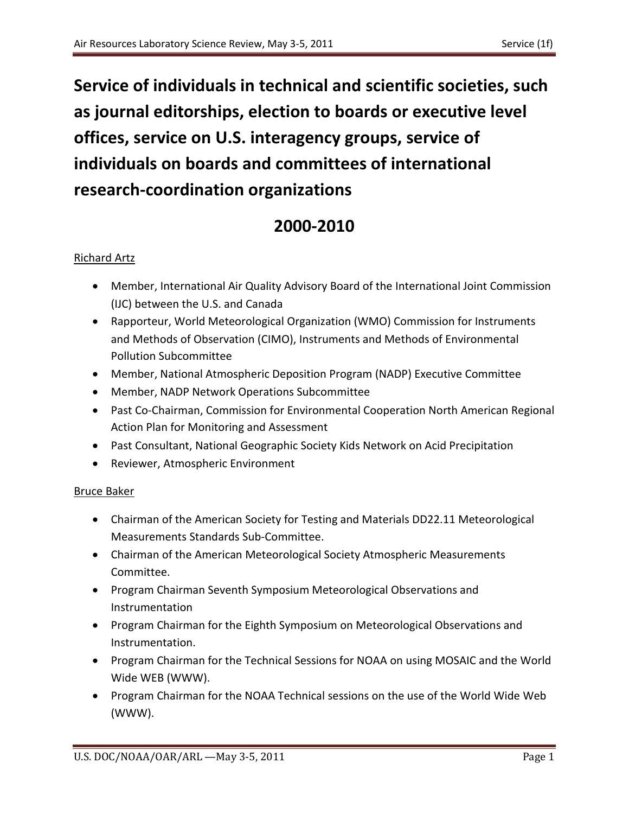**Service of individuals in technical and scientific societies, such as journal editorships, election to boards or executive level offices, service on U.S. interagency groups, service of individuals on boards and committees of international research-coordination organizations** 

# **2000-2010**

# Richard Artz

- Member, International Air Quality Advisory Board of the International Joint Commission (IJC) between the U.S. and Canada
- Rapporteur, World Meteorological Organization (WMO) Commission for Instruments and Methods of Observation (CIMO), Instruments and Methods of Environmental Pollution Subcommittee
- Member, National Atmospheric Deposition Program (NADP) Executive Committee
- Member, NADP Network Operations Subcommittee
- Past Co-Chairman, Commission for Environmental Cooperation North American Regional Action Plan for Monitoring and Assessment
- Past Consultant, National Geographic Society Kids Network on Acid Precipitation
- Reviewer, Atmospheric Environment

#### Bruce Baker

- Chairman of the American Society for Testing and Materials DD22.11 Meteorological Measurements Standards Sub-Committee.
- Chairman of the American Meteorological Society Atmospheric Measurements Committee.
- Program Chairman Seventh Symposium Meteorological Observations and Instrumentation
- Program Chairman for the Eighth Symposium on Meteorological Observations and Instrumentation.
- Program Chairman for the Technical Sessions for NOAA on using MOSAIC and the World Wide WEB (WWW).
- Program Chairman for the NOAA Technical sessions on the use of the World Wide Web (WWW).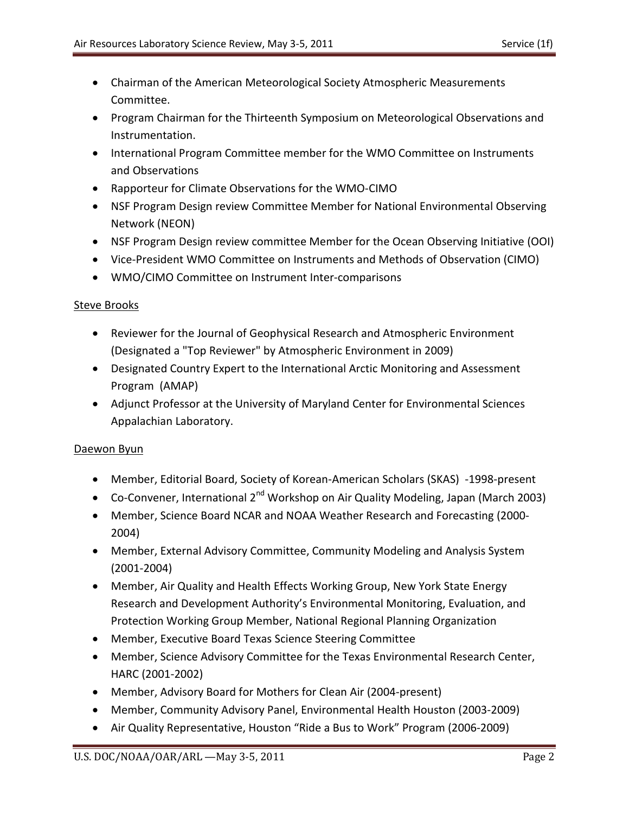- Chairman of the American Meteorological Society Atmospheric Measurements Committee.
- Program Chairman for the Thirteenth Symposium on Meteorological Observations and Instrumentation.
- International Program Committee member for the WMO Committee on Instruments and Observations
- Rapporteur for Climate Observations for the WMO-CIMO
- NSF Program Design review Committee Member for National Environmental Observing Network (NEON)
- NSF Program Design review committee Member for the Ocean Observing Initiative (OOI)
- Vice-President WMO Committee on Instruments and Methods of Observation (CIMO)
- WMO/CIMO Committee on Instrument Inter-comparisons

#### Steve Brooks

- Reviewer for the Journal of Geophysical Research and Atmospheric Environment (Designated a "Top Reviewer" by Atmospheric Environment in 2009)
- Designated Country Expert to the International Arctic Monitoring and Assessment Program (AMAP)
- Adjunct Professor at the University of Maryland Center for Environmental Sciences Appalachian Laboratory.

#### Daewon Byun

- Member, Editorial Board, Society of Korean-American Scholars (SKAS) -1998-present
- Co-Convener, International  $2^{nd}$  Workshop on Air Quality Modeling, Japan (March 2003)
- Member, Science Board NCAR and NOAA Weather Research and Forecasting (2000- 2004)
- Member, External Advisory Committee, Community Modeling and Analysis System (2001-2004)
- Member, Air Quality and Health Effects Working Group, New York State Energy Research and Development Authority's Environmental Monitoring, Evaluation, and Protection Working Group Member, National Regional Planning Organization
- Member, Executive Board Texas Science Steering Committee
- Member, Science Advisory Committee for the Texas Environmental Research Center, HARC (2001-2002)
- Member, Advisory Board for Mothers for Clean Air (2004-present)
- Member, Community Advisory Panel, Environmental Health Houston (2003-2009)
- Air Quality Representative, Houston "Ride a Bus to Work" Program (2006-2009)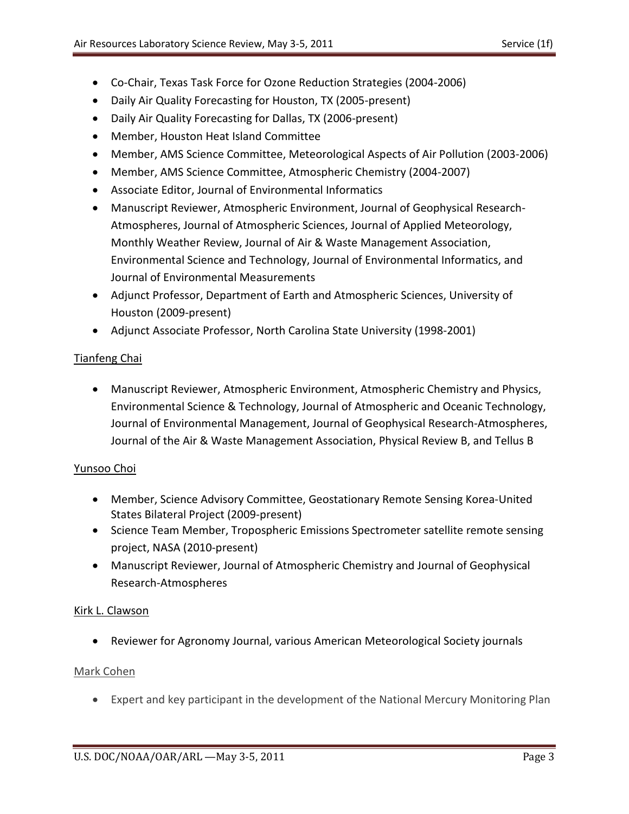- Co-Chair, Texas Task Force for Ozone Reduction Strategies (2004-2006)
- Daily Air Quality Forecasting for Houston, TX (2005-present)
- Daily Air Quality Forecasting for Dallas, TX (2006-present)
- Member, Houston Heat Island Committee
- Member, AMS Science Committee, Meteorological Aspects of Air Pollution (2003-2006)
- Member, AMS Science Committee, Atmospheric Chemistry (2004-2007)
- Associate Editor, Journal of Environmental Informatics
- Manuscript Reviewer, Atmospheric Environment, Journal of Geophysical Research-Atmospheres, Journal of Atmospheric Sciences, Journal of Applied Meteorology, Monthly Weather Review, Journal of Air & Waste Management Association, Environmental Science and Technology, Journal of Environmental Informatics, and Journal of Environmental Measurements
- Adjunct Professor, Department of Earth and Atmospheric Sciences, University of Houston (2009-present)
- Adjunct Associate Professor, North Carolina State University (1998-2001)

# Tianfeng Chai

• Manuscript Reviewer, Atmospheric Environment, Atmospheric Chemistry and Physics, Environmental Science & Technology, Journal of Atmospheric and Oceanic Technology, Journal of Environmental Management, Journal of Geophysical Research-Atmospheres, Journal of the Air & Waste Management Association, Physical Review B, and Tellus B

#### Yunsoo Choi

- Member, Science Advisory Committee, Geostationary Remote Sensing Korea-United States Bilateral Project (2009-present)
- Science Team Member, Tropospheric Emissions Spectrometer satellite remote sensing project, NASA (2010-present)
- Manuscript Reviewer, Journal of Atmospheric Chemistry and Journal of Geophysical Research-Atmospheres

#### Kirk L. Clawson

• Reviewer for Agronomy Journal, various American Meteorological Society journals

#### Mark Cohen

• Expert and key participant in the development of the National Mercury Monitoring Plan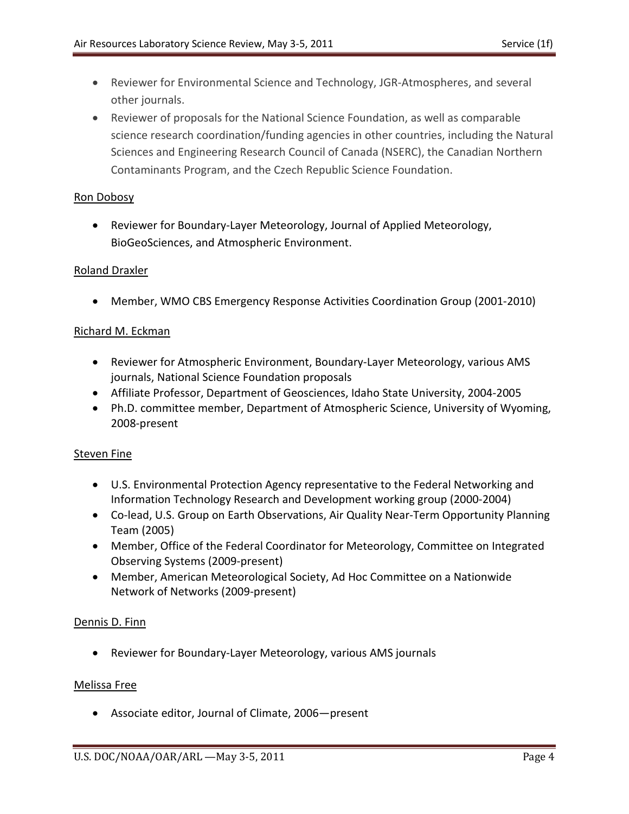- Reviewer for Environmental Science and Technology, JGR-Atmospheres, and several other journals.
- Reviewer of proposals for the National Science Foundation, as well as comparable science research coordination/funding agencies in other countries, including the Natural Sciences and Engineering Research Council of Canada (NSERC), the Canadian Northern Contaminants Program, and the Czech Republic Science Foundation.

#### Ron Dobosy

• Reviewer for Boundary-Layer Meteorology, Journal of Applied Meteorology, BioGeoSciences, and Atmospheric Environment.

#### Roland Draxler

• Member, WMO CBS Emergency Response Activities Coordination Group (2001-2010)

#### Richard M. Eckman

- Reviewer for Atmospheric Environment, Boundary-Layer Meteorology, various AMS journals, National Science Foundation proposals
- Affiliate Professor, Department of Geosciences, Idaho State University, 2004-2005
- Ph.D. committee member, Department of Atmospheric Science, University of Wyoming, 2008-present

#### Steven Fine

- U.S. Environmental Protection Agency representative to the Federal Networking and Information Technology Research and Development working group (2000-2004)
- Co-lead, U.S. Group on Earth Observations, Air Quality Near-Term Opportunity Planning Team (2005)
- Member, Office of the Federal Coordinator for Meteorology, Committee on Integrated Observing Systems (2009-present)
- Member, American Meteorological Society, Ad Hoc Committee on a Nationwide Network of Networks (2009-present)

#### Dennis D. Finn

• Reviewer for Boundary-Layer Meteorology, various AMS journals

#### Melissa Free

• Associate editor, Journal of Climate, 2006—present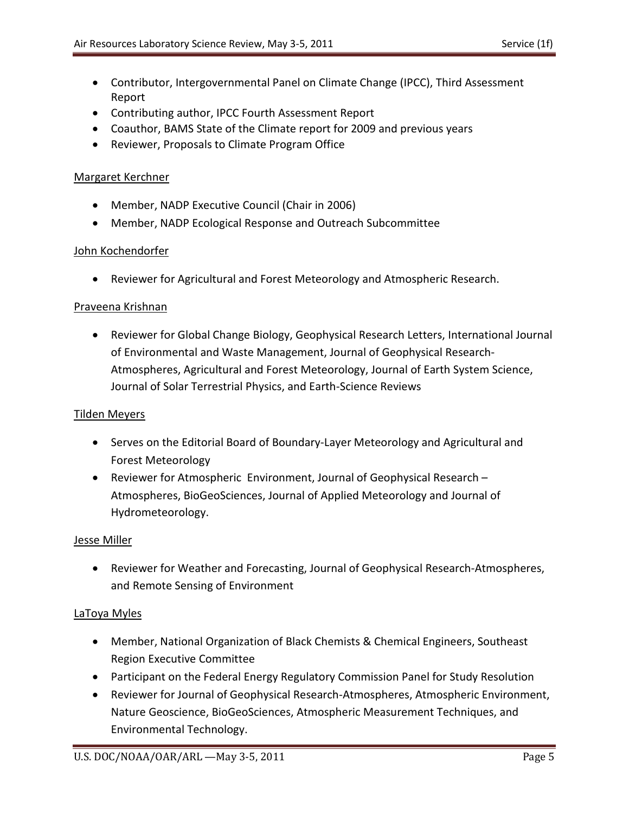- Contributor, Intergovernmental Panel on Climate Change (IPCC), Third Assessment Report
- Contributing author, IPCC Fourth Assessment Report
- Coauthor, BAMS State of the Climate report for 2009 and previous years
- Reviewer, Proposals to Climate Program Office

# Margaret Kerchner

- Member, NADP Executive Council (Chair in 2006)
- Member, NADP Ecological Response and Outreach Subcommittee

# John Kochendorfer

• Reviewer for Agricultural and Forest Meteorology and Atmospheric Research.

#### Praveena Krishnan

• Reviewer for Global Change Biology, Geophysical Research Letters, International Journal of Environmental and Waste Management, Journal of Geophysical Research-Atmospheres, Agricultural and Forest Meteorology, Journal of Earth System Science, Journal of Solar Terrestrial Physics, and Earth-Science Reviews

#### Tilden Meyers

- Serves on the Editorial Board of Boundary-Layer Meteorology and Agricultural and Forest Meteorology
- Reviewer for Atmospheric Environment, Journal of Geophysical Research Atmospheres, BioGeoSciences, Journal of Applied Meteorology and Journal of Hydrometeorology.

#### Jesse Miller

• Reviewer for Weather and Forecasting, Journal of Geophysical Research-Atmospheres, and Remote Sensing of Environment

#### LaToya Myles

- Member, National Organization of Black Chemists & Chemical Engineers, Southeast Region Executive Committee
- Participant on the Federal Energy Regulatory Commission Panel for Study Resolution
- Reviewer for Journal of Geophysical Research-Atmospheres, Atmospheric Environment, Nature Geoscience, BioGeoSciences, Atmospheric Measurement Techniques, and Environmental Technology.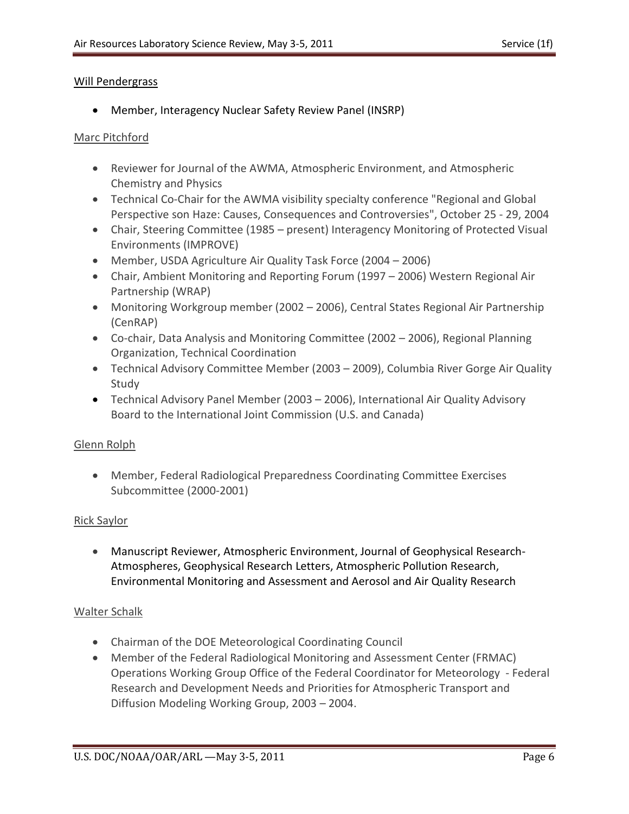### Will Pendergrass

• Member, Interagency Nuclear Safety Review Panel (INSRP)

#### Marc Pitchford

- Reviewer for Journal of the AWMA, Atmospheric Environment, and Atmospheric Chemistry and Physics
- Technical Co-Chair for the AWMA visibility specialty conference "Regional and Global Perspective son Haze: Causes, Consequences and Controversies", October 25 - 29, 2004
- Chair, Steering Committee (1985 present) Interagency Monitoring of Protected Visual Environments (IMPROVE)
- Member, USDA Agriculture Air Quality Task Force (2004 2006)
- Chair, Ambient Monitoring and Reporting Forum (1997 2006) Western Regional Air Partnership (WRAP)
- Monitoring Workgroup member (2002 2006), Central States Regional Air Partnership (CenRAP)
- Co-chair, Data Analysis and Monitoring Committee (2002 2006), Regional Planning Organization, Technical Coordination
- Technical Advisory Committee Member (2003 2009), Columbia River Gorge Air Quality Study
- Technical Advisory Panel Member (2003 2006), International Air Quality Advisory Board to the International Joint Commission (U.S. and Canada)

#### Glenn Rolph

• Member, Federal Radiological Preparedness Coordinating Committee Exercises Subcommittee (2000-2001)

#### Rick Saylor

• Manuscript Reviewer, Atmospheric Environment, Journal of Geophysical Research-Atmospheres, Geophysical Research Letters, Atmospheric Pollution Research, Environmental Monitoring and Assessment and Aerosol and Air Quality Research

#### Walter Schalk

- Chairman of the DOE Meteorological Coordinating Council
- Member of the Federal Radiological Monitoring and Assessment Center (FRMAC) Operations Working Group Office of the Federal Coordinator for Meteorology - Federal Research and Development Needs and Priorities for Atmospheric Transport and Diffusion Modeling Working Group, 2003 – 2004.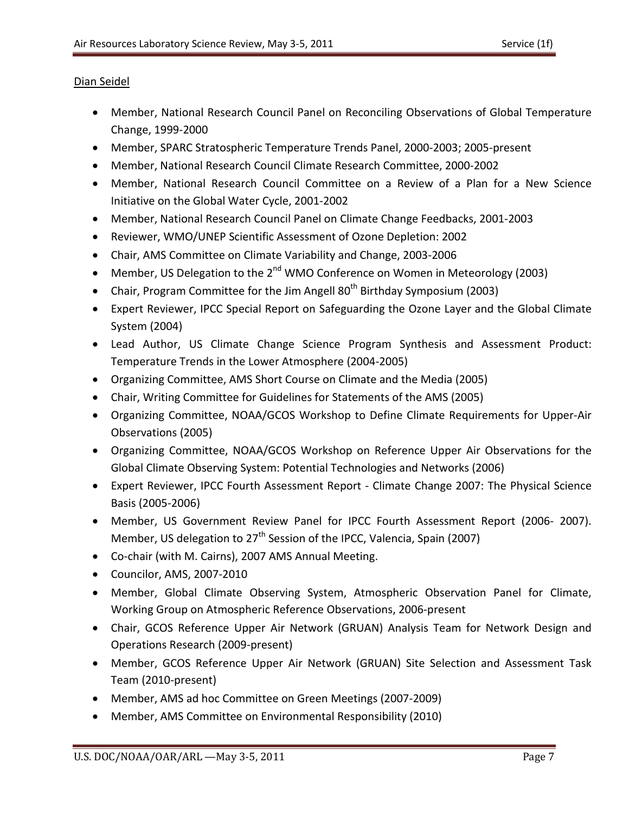### Dian Seidel

- Member, National Research Council Panel on Reconciling Observations of Global Temperature Change, 1999-2000
- Member, SPARC Stratospheric Temperature Trends Panel, 2000-2003; 2005-present
- Member, National Research Council Climate Research Committee, 2000-2002
- Member, National Research Council Committee on a Review of a Plan for a New Science Initiative on the Global Water Cycle, 2001-2002
- Member, National Research Council Panel on Climate Change Feedbacks, 2001-2003
- Reviewer, WMO/UNEP Scientific Assessment of Ozone Depletion: 2002
- Chair, AMS Committee on Climate Variability and Change, 2003-2006
- Member, US Delegation to the 2<sup>nd</sup> WMO Conference on Women in Meteorology (2003)
- Chair, Program Committee for the Jim Angell  $80<sup>th</sup>$  Birthday Symposium (2003)
- Expert Reviewer, IPCC Special Report on Safeguarding the Ozone Layer and the Global Climate System (2004)
- Lead Author, US Climate Change Science Program Synthesis and Assessment Product: Temperature Trends in the Lower Atmosphere (2004-2005)
- Organizing Committee, AMS Short Course on Climate and the Media (2005)
- Chair, Writing Committee for Guidelines for Statements of the AMS (2005)
- Organizing Committee, NOAA/GCOS Workshop to Define Climate Requirements for Upper-Air Observations (2005)
- Organizing Committee, NOAA/GCOS Workshop on Reference Upper Air Observations for the Global Climate Observing System: Potential Technologies and Networks (2006)
- Expert Reviewer, IPCC Fourth Assessment Report Climate Change 2007: The Physical Science Basis (2005-2006)
- Member, US Government Review Panel for IPCC Fourth Assessment Report (2006- 2007). Member, US delegation to 27<sup>th</sup> Session of the IPCC, Valencia, Spain (2007)
- Co-chair (with M. Cairns), 2007 AMS Annual Meeting.
- Councilor, AMS, 2007-2010
- Member, Global Climate Observing System, Atmospheric Observation Panel for Climate, Working Group on Atmospheric Reference Observations, 2006-present
- Chair, GCOS Reference Upper Air Network (GRUAN) Analysis Team for Network Design and Operations Research (2009-present)
- Member, GCOS Reference Upper Air Network (GRUAN) Site Selection and Assessment Task Team (2010-present)
- Member, AMS ad hoc Committee on Green Meetings (2007-2009)
- Member, AMS Committee on Environmental Responsibility (2010)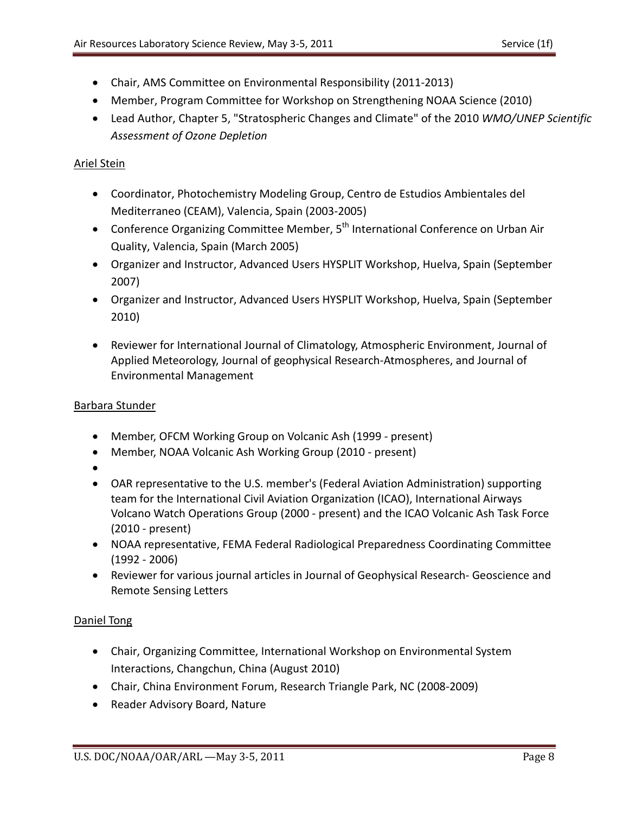- Chair, AMS Committee on Environmental Responsibility (2011-2013)
- Member, Program Committee for Workshop on Strengthening NOAA Science (2010)
- Lead Author, Chapter 5, "Stratospheric Changes and Climate" of the 2010 *WMO/UNEP Scientific Assessment of Ozone Depletion*

# Ariel Stein

- Coordinator, Photochemistry Modeling Group, Centro de Estudios Ambientales del Mediterraneo (CEAM), Valencia, Spain (2003-2005)
- Conference Organizing Committee Member,  $5<sup>th</sup>$  International Conference on Urban Air Quality, Valencia, Spain (March 2005)
- Organizer and Instructor, Advanced Users HYSPLIT Workshop, Huelva, Spain (September 2007)
- Organizer and Instructor, Advanced Users HYSPLIT Workshop, Huelva, Spain (September 2010)
- Reviewer for International Journal of Climatology, Atmospheric Environment, Journal of Applied Meteorology, Journal of geophysical Research-Atmospheres, and Journal of Environmental Management

# Barbara Stunder

- Member, OFCM Working Group on Volcanic Ash (1999 present)
- Member, NOAA Volcanic Ash Working Group (2010 present)
- •
- OAR representative to the U.S. member's (Federal Aviation Administration) supporting team for the International Civil Aviation Organization (ICAO), International Airways Volcano Watch Operations Group (2000 - present) and the ICAO Volcanic Ash Task Force (2010 - present)
- NOAA representative, FEMA Federal Radiological Preparedness Coordinating Committee (1992 - 2006)
- Reviewer for various journal articles in Journal of Geophysical Research- Geoscience and Remote Sensing Letters

# Daniel Tong

- Chair, Organizing Committee, International Workshop on Environmental System Interactions, Changchun, China (August 2010)
- Chair, China Environment Forum, Research Triangle Park, NC (2008-2009)
- Reader Advisory Board, Nature